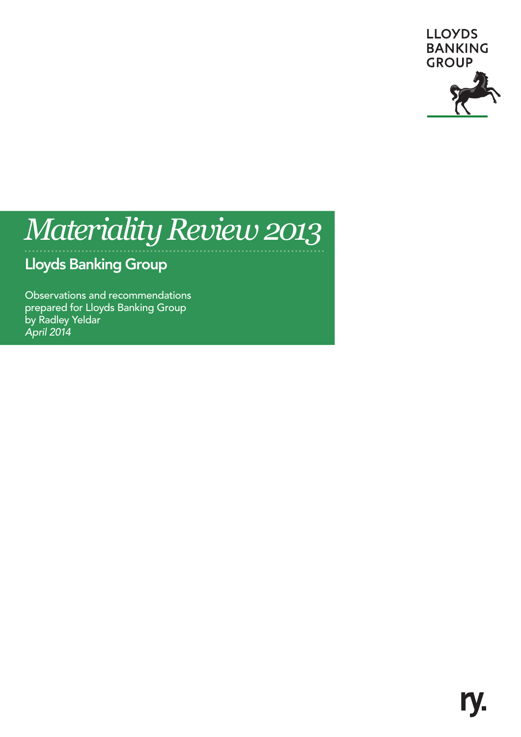

# *Materiality Review 2013*

# Lloyds Banking Group

Observations and recommendations prepared for Lloyds Banking Group by Radley Yeldar *April 2014*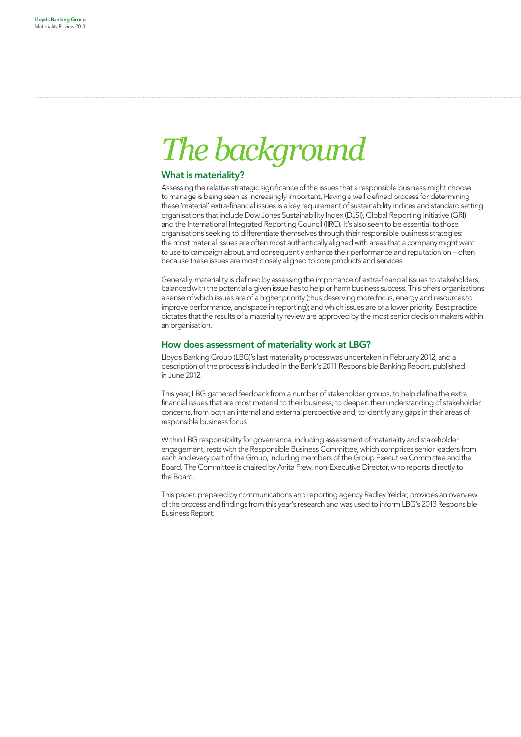# *The background*

### What is materiality?

Assessing the relative strategic significance of the issues that a responsible business might choose to manage is being seen as increasingly important. Having a well defined process for determining these 'material' extra-financial issues is a key requirement of sustainability indices and standard setting organisations that include Dow Jones Sustainability Index (DJSI), Global Reporting Initiative (GRI) and the International Integrated Reporting Council (IIRC). It's also seen to be essential to those organisations seeking to differentiate themselves through their responsible business strategies: the most material issues are often most authentically aligned with areas that a company might want to use to campaign about, and consequently enhance their performance and reputation on – often because these issues are most closely aligned to core products and services.

Generally, materiality is defined by assessing the importance of extra-financial issues to stakeholders, balanced with the potential a given issue has to help or harm business success. This offers organisations a sense of which issues are of a higher priority (thus deserving more focus, energy and resources to improve performance, and space in reporting); and which issues are of a lower priority. Best practice dictates that the results of a materiality review are approved by the most senior decision makers within an organisation.

#### How does assessment of materiality work at LBG?

Lloyds Banking Group (LBG)'s last materiality process was undertaken in February 2012, and a description of the process is included in the Bank's 2011 Responsible Banking Report, published in June 2012.

This year, LBG gathered feedback from a number of stakeholder groups, to help define the extra financial issues that are most material to their business, to deepen their understanding of stakeholder concerns, from both an internal and external perspective and, to identify any gaps in their areas of responsible business focus.

Within LBG responsibility for governance, including assessment of materiality and stakeholder engagement, rests with the Responsible Business Committee, which comprises senior leaders from each and every part of the Group, including members of the Group Executive Committee and the Board. The Committee is chaired by Anita Frew, non-Executive Director, who reports directly to the Board.

This paper, prepared by communications and reporting agency Radley Yeldar, provides an overview of the process and findings from this year's research and was used to inform LBG's 2013 Responsible Business Report.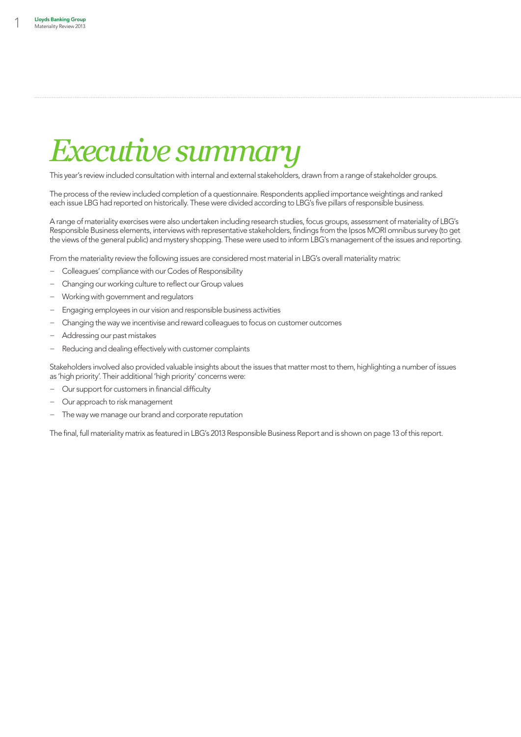# *Executive summary*

This year's review included consultation with internal and external stakeholders, drawn from a range of stakeholder groups.

The process of the review included completion of a questionnaire. Respondents applied importance weightings and ranked each issue LBG had reported on historically. These were divided according to LBG's five pillars of responsible business.

A range of materiality exercises were also undertaken including research studies, focus groups, assessment of materiality of LBG's Responsible Business elements, interviews with representative stakeholders, findings from the Ipsos MORI omnibus survey (to get the views of the general public) and mystery shopping. These were used to inform LBG's management of the issues and reporting.

From the materiality review the following issues are considered most material in LBG's overall materiality matrix:

- − Colleagues' compliance with our Codes of Responsibility
- − Changing our working culture to reflect our Group values
- − Working with government and regulators
- Engaging employees in our vision and responsible business activities
- − Changing the way we incentivise and reward colleagues to focus on customer outcomes
- − Addressing our past mistakes
- Reducing and dealing effectively with customer complaints

Stakeholders involved also provided valuable insights about the issues that matter most to them, highlighting a number of issues as 'high priority'. Their additional 'high priority' concerns were:

- − Our support for customers in financial difficulty
- − Our approach to risk management
- − The way we manage our brand and corporate reputation

The final, full materiality matrix as featured in LBG's 2013 Responsible Business Report and is shown on page 13 of this report.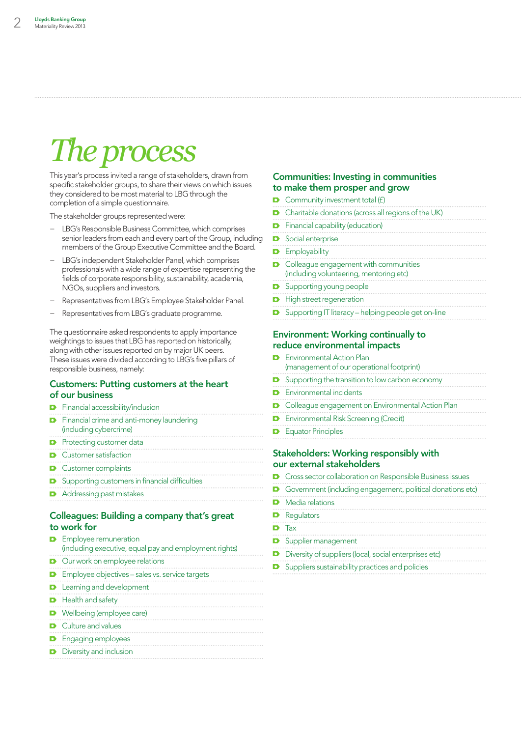# *The process*

This year's process invited a range of stakeholders, drawn from specific stakeholder groups, to share their views on which issues they considered to be most material to LBG through the completion of a simple questionnaire.

The stakeholder groups represented were:

- − LBG's Responsible Business Committee, which comprises senior leaders from each and every part of the Group, including members of the Group Executive Committee and the Board.
- LBG's independent Stakeholder Panel, which comprises professionals with a wide range of expertise representing the fields of corporate responsibility, sustainability, academia, NGOs, suppliers and investors.
- − Representatives from LBG's Employee Stakeholder Panel.
- Representatives from LBG's graduate programme.

The questionnaire asked respondents to apply importance weightings to issues that LBG has reported on historically, along with other issues reported on by major UK peers. These issues were divided according to LBG's five pillars of responsible business, namely:

#### Customers: Putting customers at the heart of our business

| <b>D</b> Financial crime and anti-money laundering<br>(including cybercrime) |
|------------------------------------------------------------------------------|
| <b>D</b> Protecting customer data                                            |
| • Customer satisfaction                                                      |
| <b>D</b> Customer complaints                                                 |
| <b>D</b> Supporting customers in financial difficulties                      |

**D** Addressing past mistakes

**D** Financial accessibility/inclusion

## Colleagues: Building a company that's great to work for

| <b>D</b> Employee remuneration<br>(including executive, equal pay and employment rights) |
|------------------------------------------------------------------------------------------|
| <b>D</b> Our work on employee relations                                                  |
| <b>D</b> Employee objectives - sales vs. service targets                                 |
| <b>D</b> Learning and development                                                        |
| <b>D</b> Health and safety                                                               |
| <b>D</b> Wellbeing (employee care)                                                       |
| <b>D</b> Culture and values                                                              |
| <b>D</b> Engaging employees                                                              |
| <b>D</b> Diversity and inclusion                                                         |
|                                                                                          |

### Communities: Investing in communities to make them prosper and grow

| $\bullet$ Community investment total (f)                                                  |
|-------------------------------------------------------------------------------------------|
| <b>D</b> Charitable donations (across all regions of the UK)                              |
| <b>D</b> Financial capability (education)                                                 |
| <b>D</b> Social enterprise                                                                |
| <b>D</b> Employability                                                                    |
| <b>D</b> Colleague engagement with communities<br>(including volunteering, mentoring etc) |
| <b>D</b> Supporting young people                                                          |
| <b>D</b> High street regeneration                                                         |
| <b>D</b> Supporting IT literacy – helping people get on-line                              |

# reduce environmental impacts

. . . . . . . . . . . . . .

|                                               | <b>D</b> Fnvironmental Action Plan<br>(management of our operational footprint) |  |
|-----------------------------------------------|---------------------------------------------------------------------------------|--|
|                                               | $\bullet$ Supporting the transition to low carbon economy                       |  |
|                                               | <b>D</b> Environmental incidents                                                |  |
|                                               | <b>D</b> Colleague engagement on Environmental Action Plan                      |  |
|                                               | <b>D</b> Environmental Risk Screening (Credit)                                  |  |
|                                               | <b>D</b> Equator Principles                                                     |  |
| <b>Stakeholders: Working responsibly with</b> |                                                                                 |  |

## our external stakeholders

- **D** Cross sector collaboration on Responsible Business issues
- Government (including engagement, political donations etc)

| Media relations                                        |
|--------------------------------------------------------|
| Regulators                                             |
| $\bullet$ Tax                                          |
| Supplier management                                    |
| Diversity of suppliers (local, social enterprises etc) |

**D** Suppliers sustainability practices and policies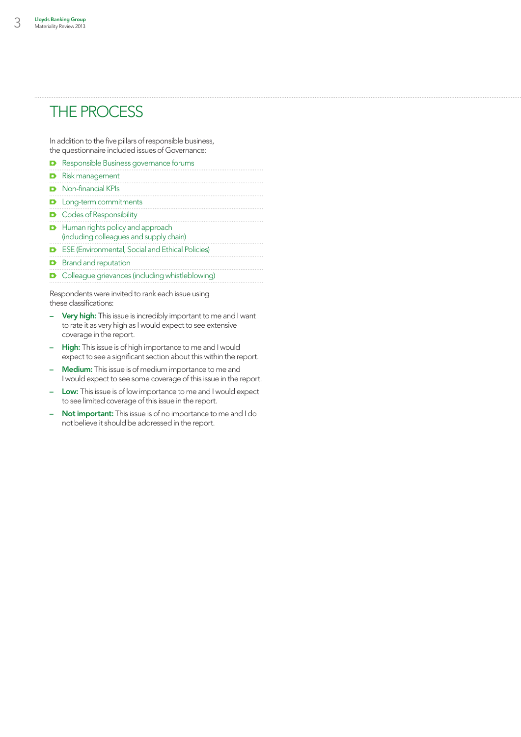## The process

In addition to the five pillars of responsible business, the questionnaire included issues of Governance:

| <b>D</b> Responsible Business governance forums                                      |
|--------------------------------------------------------------------------------------|
| <b>D</b> Risk management                                                             |
| <b>D</b> Non-financial KPIs                                                          |
| <b>D</b> Long-term commitments                                                       |
| <b>D</b> Codes of Responsibility                                                     |
| <b>D</b> Human rights policy and approach<br>(including colleagues and supply chain) |
| <b>D</b> ESE (Environmental, Social and Ethical Policies)                            |
| <b>D</b> Brand and reputation                                                        |
| • Colleague grievances (including whistleblowing)                                    |
| Respondents were invited to rank each issue using<br>these classifications:          |
| .                                                                                    |

 $\overline{a}$ 

 $\overline{a}$ 

- Very high: This issue is incredibly important to me and I want to rate it as very high as I would expect to see extensive coverage in the report.
- High: This issue is of high importance to me and I would expect to see a significant section about this within the report.
- Medium: This issue is of medium importance to me and I would expect to see some coverage of this issue in the report.
- Low: This issue is of low importance to me and I would expect to see limited coverage of this issue in the report.
- Not important: This issue is of no importance to me and I do not believe it should be addressed in the report.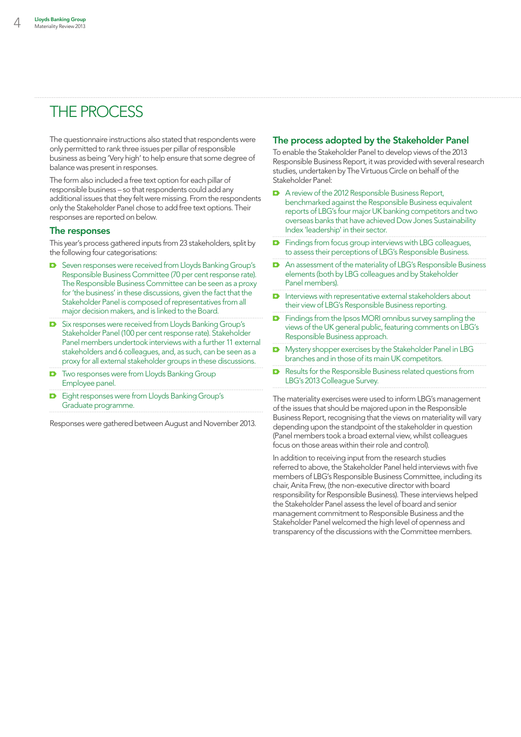# The process

The questionnaire instructions also stated that respondents were only permitted to rank three issues per pillar of responsible business as being 'Very high' to help ensure that some degree of balance was present in responses.

The form also included a free text option for each pillar of responsible business – so that respondents could add any additional issues that they felt were missing. From the respondents only the Stakeholder Panel chose to add free text options. Their responses are reported on below.

#### The responses

This year's process gathered inputs from 23 stakeholders, split by the following four categorisations:

- Seven responses were received from Lloyds Banking Group's Responsible Business Committee (70 per cent response rate). The Responsible Business Committee can be seen as a proxy for 'the business' in these discussions, given the fact that the Stakeholder Panel is composed of representatives from all major decision makers, and is linked to the Board.
- Six responses were received from Lloyds Banking Group's Stakeholder Panel (100 per cent response rate). Stakeholder Panel members undertook interviews with a further 11 external stakeholders and 6 colleagues, and, as such, can be seen as a proxy for all external stakeholder groups in these discussions.
- **D** Two responses were from Lloyds Banking Group Employee panel.
- **D** Eight responses were from Lloyds Banking Group's Graduate programme.

Responses were gathered between August and November 2013.

## The process adopted by the Stakeholder Panel

To enable the Stakeholder Panel to develop views of the 2013 Responsible Business Report, it was provided with several research studies, undertaken by The Virtuous Circle on behalf of the Stakeholder Panel:

- A review of the 2012 Responsible Business Report, benchmarked against the Responsible Business equivalent reports of LBG's four major UK banking competitors and two overseas banks that have achieved Dow Jones Sustainability Index 'leadership' in their sector.
- **D** Findings from focus group interviews with LBG colleagues, to assess their perceptions of LBG's Responsible Business.
- An assessment of the materiality of LBG's Responsible Business elements (both by LBG colleagues and by Stakeholder Panel members).
- **D** Interviews with representative external stakeholders about their view of LBG's Responsible Business reporting.
- **D** Findings from the Ipsos MORI omnibus survey sampling the views of the UK general public, featuring comments on LBG's Responsible Business approach.
- Mystery shopper exercises by the Stakeholder Panel in LBG  $\blacksquare$ branches and in those of its main UK competitors.
- Results for the Responsible Business related questions from D LBG's 2013 Colleague Survey.

The materiality exercises were used to inform LBG's management of the issues that should be majored upon in the Responsible Business Report, recognising that the views on materiality will vary depending upon the standpoint of the stakeholder in question (Panel members took a broad external view, whilst colleagues focus on those areas within their role and control).

In addition to receiving input from the research studies referred to above, the Stakeholder Panel held interviews with five members of LBG's Responsible Business Committee, including its chair, Anita Frew, (the non-executive director with board responsibility for Responsible Business). These interviews helped the Stakeholder Panel assess the level of board and senior management commitment to Responsible Business and the Stakeholder Panel welcomed the high level of openness and transparency of the discussions with the Committee members.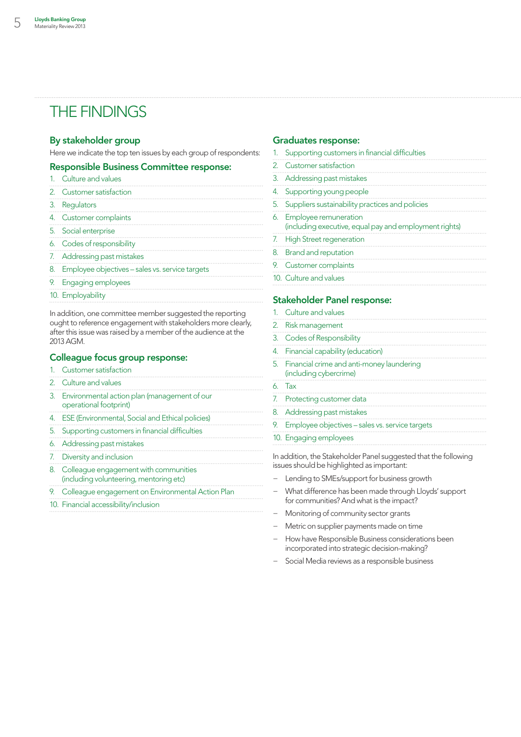## The findings

### By stakeholder group

Here we indicate the top ten issues by each group of respondents:

## Responsible Business Committee response:

1. Culture and values 2. Customer satisfaction 3. Regulators 4. Customer complaints 5. Social enterprise 6. Codes of responsibility 7. Addressing past mistakes 8. Employee objectives – sales vs. service targets 9. Engaging employees 10. Employability

In addition, one committee member suggested the reporting ought to reference engagement with stakeholders more clearly, after this issue was raised by a member of the audience at the 2013 AGM.

## Colleague focus group response:

- 1. Customer satisfaction
- 2. Culture and values
- 3. Environmental action plan (management of our operational footprint)
- 4. ESE (Environmental, Social and Ethical policies)
- 5. Supporting customers in financial difficulties
- 6. Addressing past mistakes
- 7. Diversity and inclusion
- 8. Colleague engagement with communities (including volunteering, mentoring etc)
- 9. Colleague engagement on Environmental Action Plan
- 10. Financial accessibility/inclusion

### Graduates response:

| 1. Supporting customers in financial difficulties                                  |
|------------------------------------------------------------------------------------|
| 2. Customer satisfaction                                                           |
| 3. Addressing past mistakes                                                        |
| 4. Supporting young people                                                         |
| 5. Suppliers sustainability practices and policies                                 |
| 6. Employee remuneration<br>(including executive, equal pay and employment rights) |
| 7. High Street regeneration                                                        |
| 8. Brand and reputation                                                            |
| 9. Customer complaints                                                             |
| 10. Culture and values                                                             |

#### Stakeholder Panel response:

| 1. Culture and values                                                  |
|------------------------------------------------------------------------|
| 2. Risk management                                                     |
| 3. Codes of Responsibility                                             |
| 4. Financial capability (education)                                    |
| 5. Financial crime and anti-money laundering<br>(including cybercrime) |
| 6. Tax                                                                 |
| 7. Protecting customer data                                            |
| 8. Addressing past mistakes                                            |
| 9. Employee objectives - sales vs. service targets                     |
| 10. Engaging employees                                                 |

In addition, the Stakeholder Panel suggested that the following issues should be highlighted as important:

- − Lending to SMEs/support for business growth
- − What difference has been made through Lloyds' support for communities? And what is the impact?
- − Monitoring of community sector grants
- Metric on supplier payments made on time
- − How have Responsible Business considerations been incorporated into strategic decision-making?
- Social Media reviews as a responsible business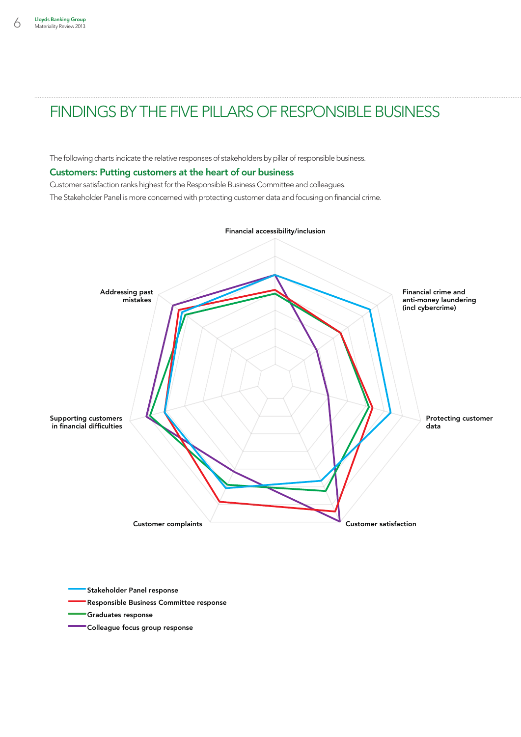The following charts indicate the relative responses of stakeholders by pillar of responsible business.

#### Customers: Putting customers at the heart of our business

Customer satisfaction ranks highest for the Responsible Business Committee and colleagues.

The Stakeholder Panel is more concerned with protecting customer data and focusing on financial crime.



Stakeholder Panel response

- Responsible Business Committee response
- Graduates response
- Colleague focus group response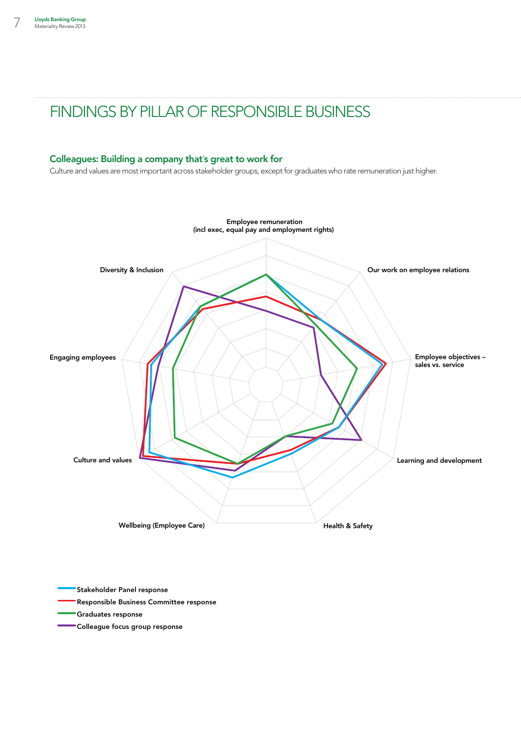## Colleagues: Building a company that's great to work for

Culture and values are most important across stakeholder groups, except for graduates who rate remuneration just higher.



Stakeholder Panel response

- Responsible Business Committee response
- Graduates response
- Colleague focus group response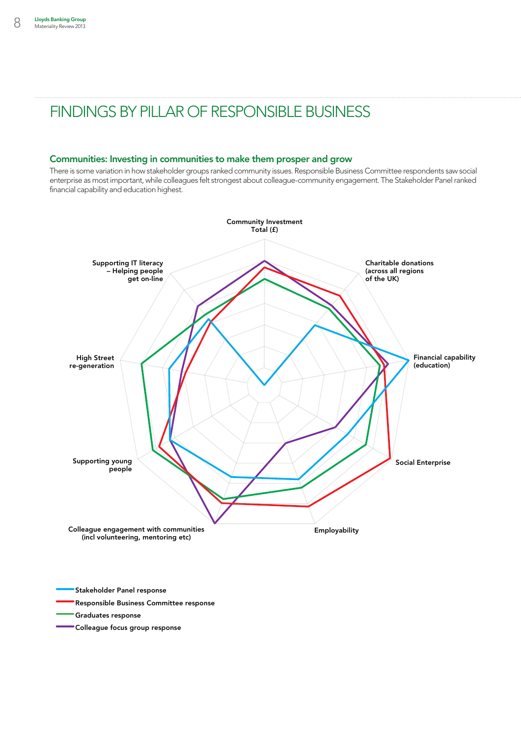## Communities: Investing in communities to make them prosper and grow

There is some variation in how stakeholder groups ranked community issues. Responsible Business Committee respondents saw social enterprise as most important, while colleagues felt strongest about colleague-community engagement. The Stakeholder Panel ranked financial capability and education highest.



Stakeholder Panel response

Responsible Business Committee response

Graduates response

Colleague focus group response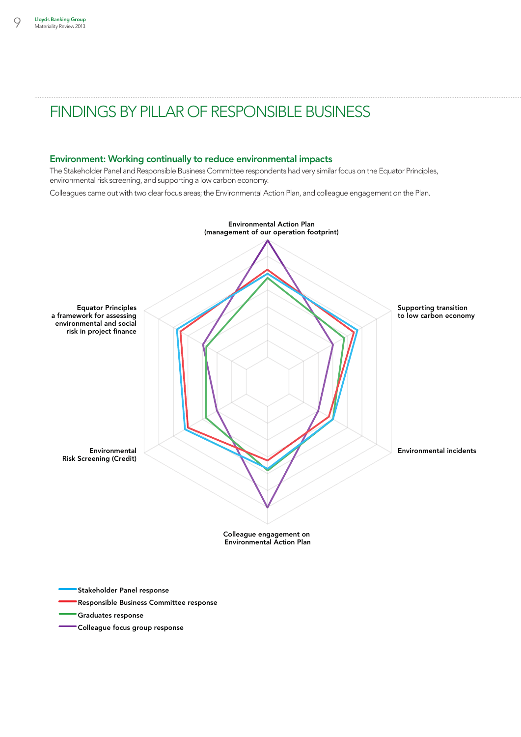### Environment: Working continually to reduce environmental impacts

The Stakeholder Panel and Responsible Business Committee respondents had very similar focus on the Equator Principles, environmental risk screening, and supporting a low carbon economy.

Colleagues came out with two clear focus areas; the Environmental Action Plan, and colleague engagement on the Plan.



Stakeholder Panel response

- Responsible Business Committee response
- Graduates response
- Colleague focus group response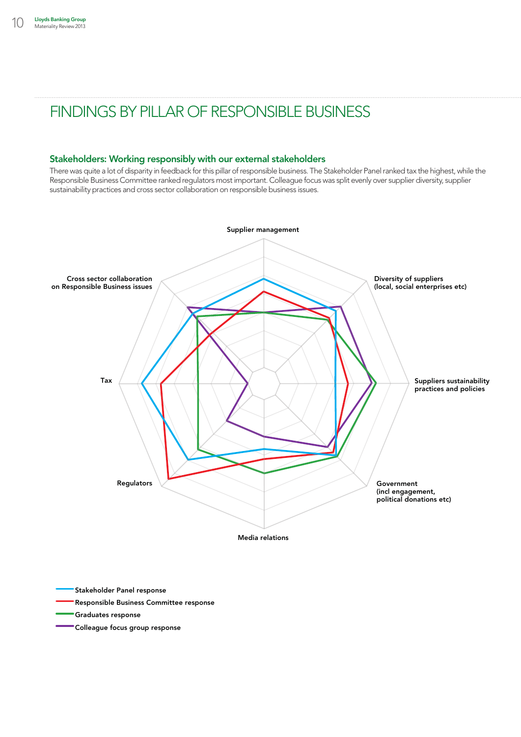## Stakeholders: Working responsibly with our external stakeholders

There was quite a lot of disparity in feedback for this pillar of responsible business. The Stakeholder Panel ranked tax the highest, while the Responsible Business Committee ranked regulators most important. Colleague focus was split evenly over supplier diversity, supplier sustainability practices and cross sector collaboration on responsible business issues.



- Stakeholder Panel response
- Responsible Business Committee response
- Graduates response
- Colleague focus group response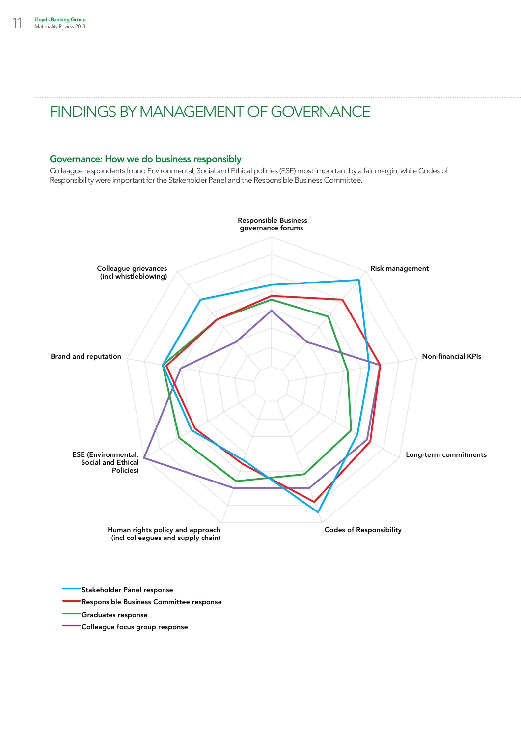# Findings by management of Governance

## Governance: How we do business responsibly

Colleague respondents found Environmental, Social and Ethical policies (ESE) most important by a fair margin, while Codes of Responsibility were important for the Stakeholder Panel and the Responsible Business Committee.



- Graduates response
- Colleague focus group response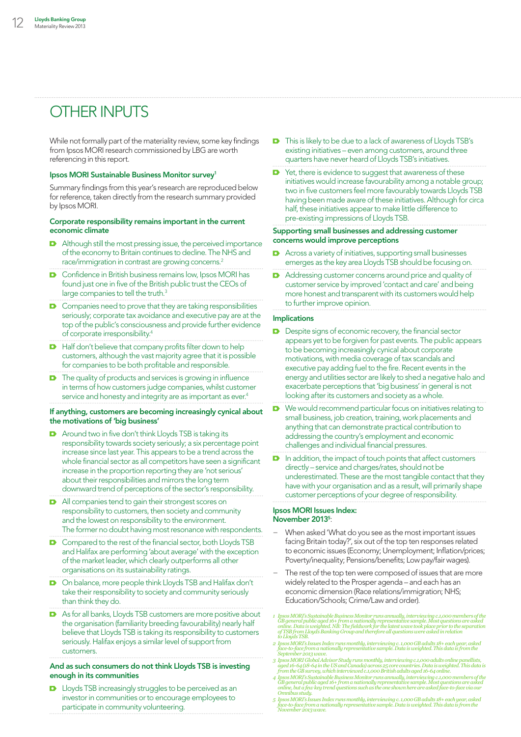# OTHER INPUTS

While not formally part of the materiality review, some key findings from Ipsos MORI research commissioned by LBG are worth referencing in this report.

#### Ipsos MORI Sustainable Business Monitor survey1

Summary findings from this year's research are reproduced below for reference, taken directly from the research summary provided by Ipsos MORI.

#### Corporate responsibility remains important in the current economic climate

- **D** Although still the most pressing issue, the perceived importance of the economy to Britain continues to decline. The NHS and race/immigration in contrast are growing concerns.2
- **D** Confidence in British business remains low, Ipsos MORI has found just one in five of the British public trust the CEOs of large companies to tell the truth.<sup>3</sup>
- **D** Companies need to prove that they are taking responsibilities seriously; corporate tax avoidance and executive pay are at the top of the public's consciousness and provide further evidence of corporate irresponsibility.4
- $\blacksquare$  Half don't believe that company profits filter down to help customers, although the vast majority agree that it is possible for companies to be both profitable and responsible.
- **D** The quality of products and services is growing in influence in terms of how customers judge companies, whilst customer service and honesty and integrity are as important as ever.<sup>4</sup>

#### If anything, customers are becoming increasingly cynical about the motivations of 'big business'

- **D** Around two in five don't think Lloyds TSB is taking its responsibility towards society seriously; a six percentage point increase since last year. This appears to be a trend across the whole financial sector as all competitors have seen a significant increase in the proportion reporting they are 'not serious' about their responsibilities and mirrors the long term downward trend of perceptions of the sector's responsibility.
- All companies tend to gain their strongest scores on responsibility to customers, then society and community and the lowest on responsibility to the environment. The former no doubt having most resonance with respondents.
- **D** Compared to the rest of the financial sector, both Lloyds TSB and Halifax are performing 'about average' with the exception of the market leader, which clearly outperforms all other organisations on its sustainability ratings.
- On balance, more people think Lloyds TSB and Halifax don't take their responsibility to society and community seriously than think they do.
- **D** As for all banks, Lloyds TSB customers are more positive about the organisation (familiarity breeding favourability) nearly half believe that Lloyds TSB is taking its responsibility to customers seriously. Halifax enjoys a similar level of support from customers.

#### And as such consumers do not think Lloyds TSB is investing enough in its communities

**D** Lloyds TSB increasingly struggles to be perceived as an investor in communities or to encourage employees to participate in community volunteering.

- **D** This is likely to be due to a lack of awareness of Lloyds TSB's existing initiatives – even among customers, around three quarters have never heard of Lloyds TSB's initiatives.
- Yet, there is evidence to suggest that awareness of these initiatives would increase favourability among a notable group; two in five customers feel more favourably towards Lloyds TSB having been made aware of these initiatives. Although for circa half, these initiatives appear to make little difference to pre-existing impressions of Lloyds TSB.

#### Supporting small businesses and addressing customer concerns would improve perceptions

- Across a variety of initiatives, supporting small businesses emerges as the key area Lloyds TSB should be focusing on.
- Addressing customer concerns around price and quality of customer service by improved 'contact and care' and being more honest and transparent with its customers would help to further improve opinion.

#### Implications

- Despite signs of economic recovery, the financial sector appears yet to be forgiven for past events. The public appears to be becoming increasingly cynical about corporate motivations, with media coverage of tax scandals and executive pay adding fuel to the fire. Recent events in the energy and utilities sector are likely to shed a negative halo and exacerbate perceptions that 'big business' in general is not looking after its customers and society as a whole.
- **D** We would recommend particular focus on initiatives relating to small business, job creation, training, work placements and anything that can demonstrate practical contribution to addressing the country's employment and economic challenges and individual financial pressures.
- **D** In addition, the impact of touch points that affect customers directly – service and charges/rates, should not be underestimated. These are the most tangible contact that they have with your organisation and as a result, will primarily shape customer perceptions of your degree of responsibility.

#### Ipsos MORI Issues Index: November 2013<sup>5</sup>:

- − When asked 'What do you see as the most important issues facing Britain today?', six out of the top ten responses related to economic issues (Economy; Unemployment; Inflation/prices; Poverty/inequality; Pensions/benefits; Low pay/fair wages).
- The rest of the top ten were composed of issues that are more widely related to the Prosper agenda – and each has an economic dimension (Race relations/immigration; NHS; Education/Schools; Crime/Law and order).
- 1 Ipsos MORI's Sustainable Business Monitor runs annually, interviewing c.1,000 members of the<br>GB general public aged 16+ from a nationally representative sample. Most questions are asked<br>online. Data is weighted. NB: The
- 2 Ipsos MORI's Issues Index runs monthly, interviewing c. 1,000 GB adults 18+ each year, asked<br>face-to-face from a nationally representative sample. Data is weighted. This data is from the<br>September 2013 wave.
- 3 Ipsos MORI Global Advisor Study runs monthly, interviewing c.1,000 adults online panellists,<br>aged 16-64 (18-64 in the US and Canada) across 25 core countries. Data is weighted. This data is<br>from the GB survey, which inte
- 4 Ipsos MORI's Sustainable Business Monitor runs annually, interviewing c.1,000 members of the<br>GB general public aged 16+ from a nationally representative sample. Most questions are asked<br>online, but a few key trend questi *Omnibus study.*
- 5- Ipsos MORI's Issues Index runs monthly, interviewing c. 1,000 GB adults 18+ each year, asked<br>face-to-face from a nationally representative sample. Data is weighted. This data is from the<br>November 2013 wave.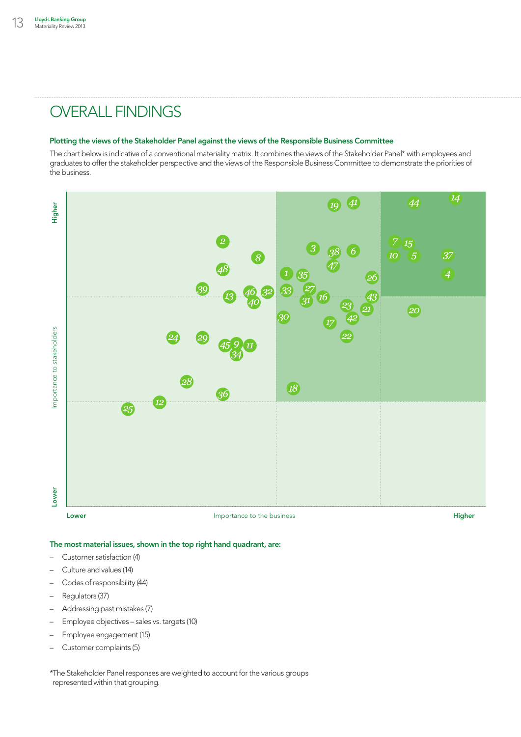# OVERALL FINDINGS

#### Plotting the views of the Stakeholder Panel against the views of the Responsible Business Committee

The chart below is indicative of a conventional materiality matrix. It combines the views of the Stakeholder Panel\* with employees and graduates to offer the stakeholder perspective and the views of the Responsible Business Committee to demonstrate the priorities of the business.



## The most material issues, shown in the top right hand quadrant, are:

- Customer satisfaction (4)
- Culture and values (14)
- Codes of responsibility (44)
- Regulators (37)
- Addressing past mistakes (7)
- Employee objectives sales vs. targets (10)
- Employee engagement (15)
- Customer complaints (5)

\*The Stakeholder Panel responses are weighted to account for the various groups represented within that grouping.